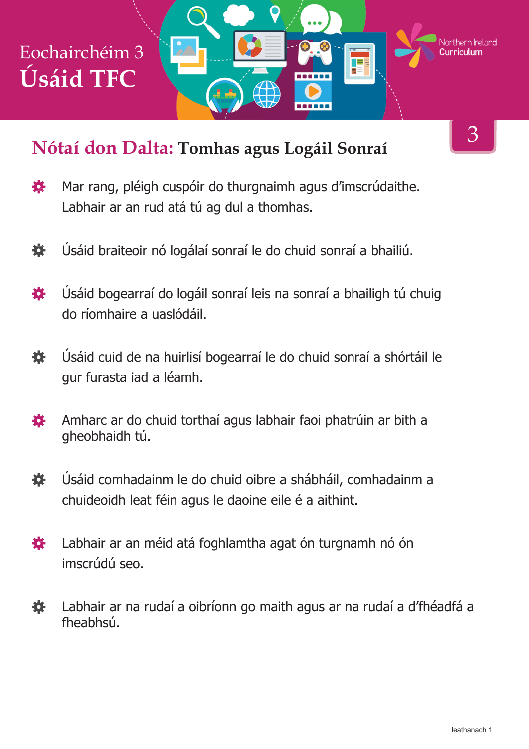# Eochairchéim 3 **Úsáid TFC**

#### **Nótaí don Dalta: Tomhas agus Logáil Sonraí**

3

Northern **Ir**eland

Ŧ

<del>. . . . . .</del>

- 寮 Mar rang, pléigh cuspóir do thurgnaimh agus d'imscrúdaithe. Labhair ar an rud atá tú ag dul a thomhas.
- Úsáid braiteoir nó logálaí sonraí le do chuid sonraí a bhailiú. 養
- Úsáid bogearraí do logáil sonraí leis na sonraí a bhailigh tú chuig 養 do ríomhaire a uaslódáil.
- 娄 Úsáid cuid de na huirlisí bogearraí le do chuid sonraí a shórtáil le gur furasta iad a léamh.
- Amharc ar do chuid torthaí agus labhair faoi phatrúin ar bith a 娄 gheobhaidh tú.
- Úsáid comhadainm le do chuid oibre a shábháil, comhadainm a 娄 chuideoidh leat féin agus le daoine eile é a aithint.
- Labhair ar an méid atá foghlamtha agat ón turgnamh nó ón **技** imscrúdú seo.
- 娄 Labhair ar na rudaí a oibríonn go maith agus ar na rudaí a d'fhéadfá a fheabhsú.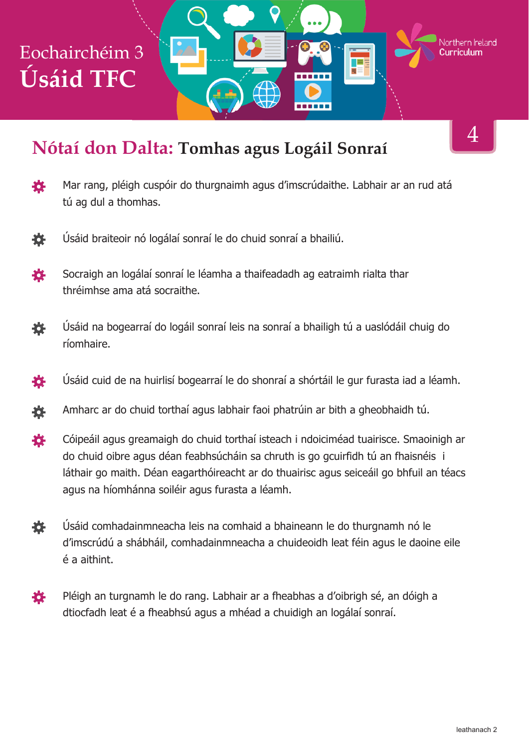## Eochairchéim 3 **Úsáid TFC**

#### **Nótaí don Dalta: Tomhas agus Logáil Sonraí**

4

Northern Ireland

ТE

- Mar rang, pléigh cuspóir do thurgnaimh agus d'imscrúdaithe. Labhair ar an rud atá 養 tú ag dul a thomhas.
- 各 Úsáid braiteoir nó logálaí sonraí le do chuid sonraí a bhailiú.
- Socraigh an logálaí sonraí le léamha a thaifeadadh ag eatraimh rialta thar 娄 thréimhse ama atá socraithe.
- 養 Úsáid na bogearraí do logáil sonraí leis na sonraí a bhailigh tú a uaslódáil chuig do ríomhaire.
- Úsáid cuid de na huirlisí bogearraí le do shonraí a shórtáil le gur furasta iad a léamh. 娄
- Amharc ar do chuid torthaí agus labhair faoi phatrúin ar bith a gheobhaidh tú. 養
- 娄 Cóipeáil agus greamaigh do chuid torthaí isteach i ndoiciméad tuairisce. Smaoinigh ar do chuid oibre agus déan feabhsúcháin sa chruth is go gcuirfidh tú an fhaisnéis i láthair go maith. Déan eagarthóireacht ar do thuairisc agus seiceáil go bhfuil an téacs agus na híomhánna soiléir agus furasta a léamh.
- 養 Úsáid comhadainmneacha leis na comhaid a bhaineann le do thurgnamh nó le d'imscrúdú a shábháil, comhadainmneacha a chuideoidh leat féin agus le daoine eile é a aithint.
- Pléigh an turgnamh le do rang. Labhair ar a fheabhas a d'oibrigh sé, an dóigh a 奁 dtiocfadh leat é a fheabhsú agus a mhéad a chuidigh an logálaí sonraí.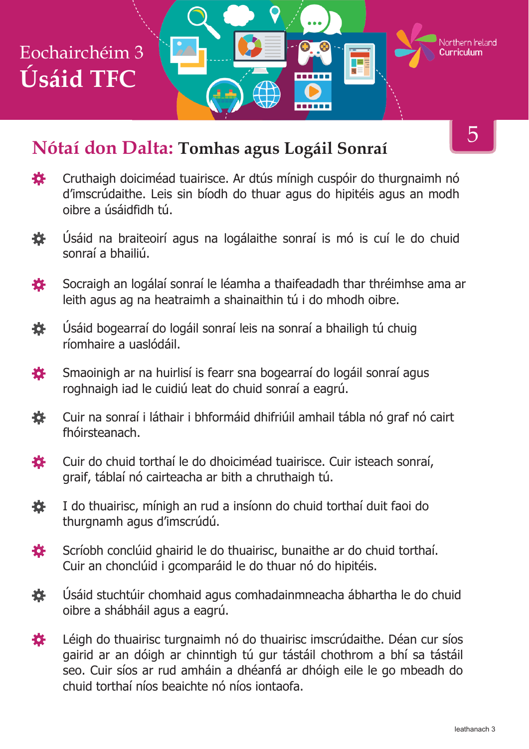

#### **Nótaí don Dalta: Tomhas agus Logáil Sonraí**

- 吝 Cruthaigh doiciméad tuairisce. Ar dtús mínigh cuspóir do thurgnaimh nó d'imscrúdaithe. Leis sin bíodh do thuar agus do hipitéis agus an modh oibre a úsáidfidh tú.
- 娄 Úsáid na braiteoirí agus na logálaithe sonraí is mó is cuí le do chuid sonraí a bhailiú.
- Socraigh an logálaí sonraí le léamha a thaifeadadh thar thréimhse ama ar 娄 leith agus ag na heatraimh a shainaithin tú i do mhodh oibre.
- 養 Úsáid bogearraí do logáil sonraí leis na sonraí a bhailigh tú chuig ríomhaire a uaslódáil.
- Smaoinigh ar na huirlisí is fearr sna bogearraí do logáil sonraí agus ₩. roghnaigh iad le cuidiú leat do chuid sonraí a eagrú.
- Cuir na sonraí i láthair i bhformáid dhifriúil amhail tábla nó graf nó cairt 養 fhóirsteanach.
- Cuir do chuid torthaí le do dhoiciméad tuairisce. Cuir isteach sonraí, 登 graif, táblaí nó cairteacha ar bith a chruthaigh tú.
- 娄 I do thuairisc, mínigh an rud a insíonn do chuid torthaí duit faoi do thurgnamh agus d'imscrúdú.
- 各 Scríobh conclúid ghairid le do thuairisc, bunaithe ar do chuid torthaí. Cuir an chonclúid i gcomparáid le do thuar nó do hipitéis.
- 娄 Úsáid stuchtúir chomhaid agus comhadainmneacha ábhartha le do chuid oibre a shábháil agus a eagrú.
- Léigh do thuairisc turgnaimh nó do thuairisc imscrúdaithe. Déan cur síos 養 gairid ar an dóigh ar chinntigh tú gur tástáil chothrom a bhí sa tástáil seo. Cuir síos ar rud amháin a dhéanfá ar dhóigh eile le go mbeadh do chuid torthaí níos beaichte nó níos iontaofa.

5